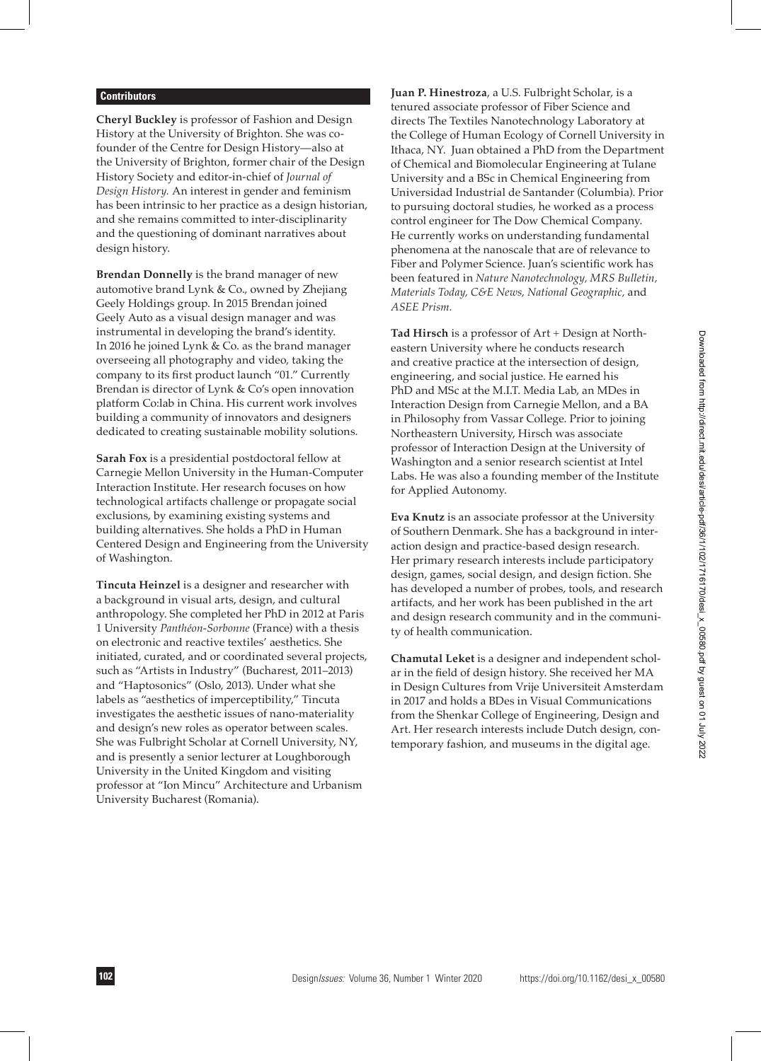## **Contributors**

**Cheryl Buckley** is professor of Fashion and Design History at the University of Brighton. She was cofounder of the Centre for Design History—also at the University of Brighton, former chair of the Design History Society and editor-in-chief of *Journal of Design History.* An interest in gender and feminism has been intrinsic to her practice as a design historian, and she remains committed to inter-disciplinarity and the questioning of dominant narratives about design history.

**Brendan Donnelly** is the brand manager of new automotive brand Lynk & Co., owned by Zhejiang Geely Holdings group. In 2015 Brendan joined Geely Auto as a visual design manager and was instrumental in developing the brand's identity. In 2016 he joined Lynk & Co. as the brand manager overseeing all photography and video, taking the company to its first product launch "01." Currently Brendan is director of Lynk & Co's open innovation platform Co:lab in China. His current work involves building a community of innovators and designers dedicated to creating sustainable mobility solutions.

**Sarah Fox** is a presidential postdoctoral fellow at Carnegie Mellon University in the Human-Computer Interaction Institute. Her research focuses on how technological artifacts challenge or propagate social exclusions, by examining existing systems and building alternatives. She holds a PhD in Human Centered Design and Engineering from the University of Washington.

**Tincuta Heinzel** is a designer and researcher with a background in visual arts, design, and cultural anthropology. She completed her PhD in 2012 at Paris 1 University *Panthéon-Sorbonne* (France) with a thesis on electronic and reactive textiles' aesthetics. She initiated, curated, and or coordinated several projects, such as "Artists in Industry" (Bucharest, 2011–2013) and "Haptosonics" (Oslo, 2013). Under what she labels as "aesthetics of imperceptibility," Tincuta investigates the aesthetic issues of nano-materiality and design's new roles as operator between scales. She was Fulbright Scholar at Cornell University, NY, and is presently a senior lecturer at Loughborough University in the United Kingdom and visiting professor at "Ion Mincu" Architecture and Urbanism University Bucharest (Romania).

**Juan P. Hinestroza**, a U.S. Fulbright Scholar, is a tenured associate professor of Fiber Science and directs The Textiles Nanotechnology Laboratory at the College of Human Ecology of Cornell University in Ithaca, NY. Juan obtained a PhD from the Department of Chemical and Biomolecular Engineering at Tulane University and a BSc in Chemical Engineering from Universidad Industrial de Santander (Columbia). Prior to pursuing doctoral studies, he worked as a process control engineer for The Dow Chemical Company. He currently works on understanding fundamental phenomena at the nanoscale that are of relevance to Fiber and Polymer Science. Juan's scientific work has been featured in *Nature Nanotechnology, MRS Bulletin, Materials Today, C&E News, National Geographic,* and *ASEE Prism.*

**Tad Hirsch** is a professor of Art + Design at Northeastern University where he conducts research and creative practice at the intersection of design, engineering, and social justice. He earned his PhD and MSc at the M.I.T. Media Lab, an MDes in Interaction Design from Carnegie Mellon, and a BA in Philosophy from Vassar College. Prior to joining Northeastern University, Hirsch was associate professor of Interaction Design at the University of Washington and a senior research scientist at Intel Labs. He was also a founding member of the Institute for Applied Autonomy.

**Eva Knutz** is an associate professor at the University of Southern Denmark. She has a background in interaction design and practice-based design research. Her primary research interests include participatory design, games, social design, and design fiction. She has developed a number of probes, tools, and research artifacts, and her work has been published in the art and design research community and in the community of health communication.

**Chamutal Leket** is a designer and independent scholar in the field of design history. She received her MA in Design Cultures from Vrije Universiteit Amsterdam in 2017 and holds a BDes in Visual Communications from the Shenkar College of Engineering, Design and Art. Her research interests include Dutch design, contemporary fashion, and museums in the digital age.